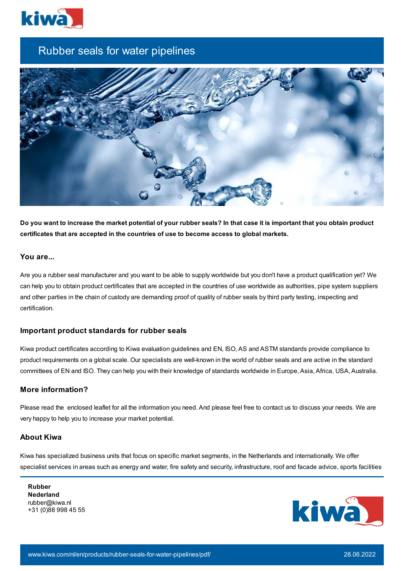

# Rubber seals for water pipelines



Do you want to increase the market potential of your rubber seals? In that case it is important that you obtain product **certificates that are accepted in the countries of use to become access to global markets.**

## **You are...**

Are you a rubber seal manufacturer and you want to be able to supply worldwide but you don't have a product qualification yet? We can help you to obtain product certificates that are accepted in the countries of use worldwide as authorities, pipe system suppliers and other parties in the chain of custody are demanding proof of quality of rubber seals by third party testing, inspecting and certification.

#### **Important product standards for rubber seals**

Kiwa product certificates according to Kiwa evaluation guidelines and EN, ISO, AS and ASTM standards provide compliance to product requirements on a global scale. Our specialists are well-known in the world of rubber seals and are active in the standard committees of EN and ISO. They can help you with their knowledge of standards worldwide in Europe, Asia, Africa, USA, Australia.

## **More information?**

Please read the enclosed leaflet for all the information you need. And please feel free to contact us to discuss your needs. We are very happy to help you to increase your market potential.

#### **About Kiwa**

Kiwa has specialized business units that focus on specific market segments, in the Netherlands and internationally. We offer specialist services in areas such as energy and water, fire safety and security, infrastructure, roof and facade advice, sports facilities

**Rubber Nederland** rubber@kiwa.nl +31 (0)88 998 45 55